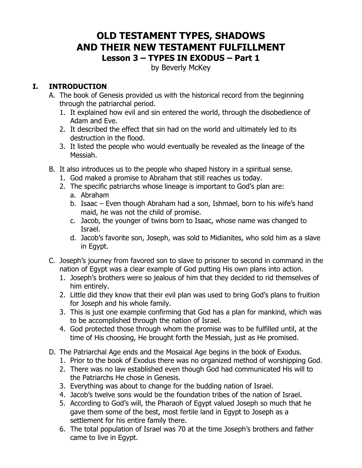# **OLD TESTAMENT TYPES, SHADOWS AND THEIR NEW TESTAMENT FULFILLMENT Lesson 3 – TYPES IN EXODUS – Part 1**

by Beverly McKey

#### **I. INTRODUCTION**

- A. The book of Genesis provided us with the historical record from the beginning through the patriarchal period.
	- 1. It explained how evil and sin entered the world, through the disobedience of Adam and Eve.
	- 2. It described the effect that sin had on the world and ultimately led to its destruction in the flood.
	- 3. It listed the people who would eventually be revealed as the lineage of the Messiah.
- B. It also introduces us to the people who shaped history in a spiritual sense.
	- 1. God maked a promise to Abraham that still reaches us today.
	- 2. The specific patriarchs whose lineage is important to God's plan are:
		- a. Abraham
		- b. Isaac Even though Abraham had a son, Ishmael, born to his wife's hand maid, he was not the child of promise.
		- c. Jacob, the younger of twins born to Isaac, whose name was changed to Israel.
		- d. Jacob's favorite son, Joseph, was sold to Midianites, who sold him as a slave in Egypt.
- C. Joseph's journey from favored son to slave to prisoner to second in command in the nation of Egypt was a clear example of God putting His own plans into action.
	- 1. Joseph's brothers were so jealous of him that they decided to rid themselves of him entirely.
	- 2. Little did they know that their evil plan was used to bring God's plans to fruition for Joseph and his whole family.
	- 3. This is just one example confirming that God has a plan for mankind, which was to be accomplished through the nation of Israel.
	- 4. God protected those through whom the promise was to be fulfilled until, at the time of His choosing, He brought forth the Messiah, just as He promised.
- D. The Patriarchal Age ends and the Mosaical Age begins in the book of Exodus.
	- 1. Prior to the book of Exodus there was no organized method of worshipping God.
	- 2. There was no law established even though God had communicated His will to the Patriarchs He chose in Genesis.
	- 3. Everything was about to change for the budding nation of Israel.
	- 4. Jacob's twelve sons would be the foundation tribes of the nation of Israel.
	- 5. According to God's will, the Pharaoh of Egypt valued Joseph so much that he gave them some of the best, most fertile land in Egypt to Joseph as a settlement for his entire family there.
	- 6. The total population of Israel was 70 at the time Joseph's brothers and father came to live in Egypt.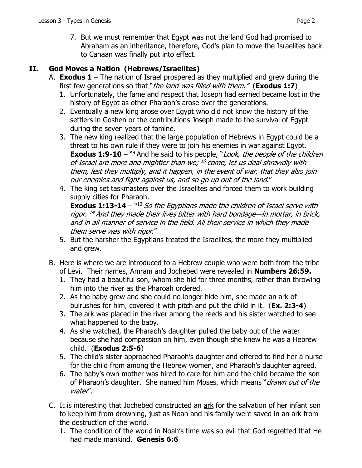7. But we must remember that Egypt was not the land God had promised to Abraham as an inheritance, therefore, God's plan to move the Israelites back to Canaan was finally put into effect.

#### **II. God Moves a Nation (Hebrews/Israelites)**

- A. **Exodus 1** The nation of Israel prospered as they multiplied and grew during the first few generations so that "the land was filled with them." (**Exodus 1:7**)
	- 1. Unfortunately, the fame and respect that Joseph had earned became lost in the history of Egypt as other Pharaoh's arose over the generations.
	- 2. Eventually a new king arose over Egypt who did not know the history of the settlers in Goshen or the contributions Joseph made to the survival of Egypt during the seven years of famine.
	- 3. The new king realized that the large population of Hebrews in Egypt could be a threat to his own rule if they were to join his enemies in war against Egypt. **Exodus 1:9-10** – <sup>ng</sup> And he said to his people, "*Look, the people of the children* of Israel are more and mightier than we;  $^{10}$  come, let us deal shrewdly with them, lest they multiply, and it happen, in the event of war, that they also join our enemies and fight against us, and so go up out of the land."
	- 4. The king set taskmasters over the Israelites and forced them to work building supply cities for Pharaoh.

**Exodus 1:13-14** – <sup>"13</sup> So the Egyptians made the children of Israel serve with rigor.  $^{14}$  And they made their lives bitter with hard bondage—in mortar, in brick, and in all manner of service in the field. All their service in which they made them serve was with rigor."

- 5. But the harsher the Egyptians treated the Israelites, the more they multiplied and grew.
- B. Here is where we are introduced to a Hebrew couple who were both from the tribe of Levi. Their names, Amram and Jochebed were revealed in **Numbers 26:59.**
	- 1. They had a beautiful son, whom she hid for three months, rather than throwing him into the river as the Pharoah ordered.
	- 2. As the baby grew and she could no longer hide him, she made an ark of bulrushes for him, covered it with pitch and put the child in it. (**Ex. 2:3-4**)
	- 3. The ark was placed in the river among the reeds and his sister watched to see what happened to the baby.
	- 4. As she watched, the Pharaoh's daughter pulled the baby out of the water because she had compassion on him, even though she knew he was a Hebrew child. (**Exodus 2:5-6**)
	- 5. The child's sister approached Pharaoh's daughter and offered to find her a nurse for the child from among the Hebrew women, and Pharaoh's daughter agreed.
	- 6. The baby's own mother was hired to care for him and the child became the son of Pharaoh's daughter. She named him Moses, which means "*drawn out of the* water".
- C. It is interesting that Jochebed constructed an ark for the salvation of her infant son to keep him from drowning, just as Noah and his family were saved in an ark from the destruction of the world.
	- 1. The condition of the world in Noah's time was so evil that God regretted that He had made mankind. **Genesis 6:6**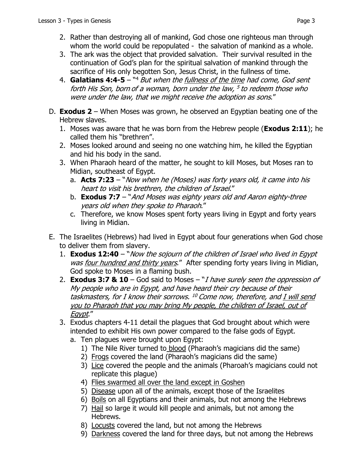- 3. The ark was the object that provided salvation. Their survival resulted in the continuation of God's plan for the spiritual salvation of mankind through the sacrifice of His only begotten Son, Jesus Christ, in the fullness of time.
- 4. **Galatians 4:4-5**  "4 But when the fullness of the time had come, God sent forth His Son, born of a woman, born under the law,  $5$  to redeem those who were under the law, that we might receive the adoption as sons."
- D. **Exodus 2**  When Moses was grown, he observed an Egyptian beating one of the Hebrew slaves.
	- 1. Moses was aware that he was born from the Hebrew people (**Exodus 2:11**); he called them his "brethren".
	- 2. Moses looked around and seeing no one watching him, he killed the Egyptian and hid his body in the sand.
	- 3. When Pharaoh heard of the matter, he sought to kill Moses, but Moses ran to Midian, southeast of Egypt.
		- a. **Acts 7:23** "Now when he (Moses) was forty years old, it came into his heart to visit his brethren, the children of Israel."
		- b. **Exodus 7:7**  "And Moses was eighty years old and Aaron eighty-three years old when they spoke to Pharaoh."
		- c. Therefore, we know Moses spent forty years living in Egypt and forty years living in Midian.
- E. The Israelites (Hebrews) had lived in Egypt about four generations when God chose to deliver them from slavery.
	- 1. **Exodus 12:40** "Now the sojourn of the children of Israel who lived in Egypt was four hundred and thirty years." After spending forty years living in Midian, God spoke to Moses in a flaming bush.
	- 2. **Exodus 3:7 & 10**  God said to Moses "I have surely seen the oppression of My people who are in Egypt, and have heard their cry because of their taskmasters, for I know their sorrows.  $^{10}$  Come now, therefore, and I will send you to Pharaoh that you may bring My people, the children of Israel, out of Egypt."
	- 3. Exodus chapters 4-11 detail the plagues that God brought about which were intended to exhibit His own power compared to the false gods of Egypt.
		- a. Ten plagues were brought upon Egypt:
			- 1) The Nile River turned to blood (Pharaoh's magicians did the same)
			- 2) Frogs covered the land (Pharaoh's magicians did the same)
			- 3) Lice covered the people and the animals (Pharoah's magicians could not replicate this plague)
			- 4) Flies swarmed all over the land except in Goshen
			- 5) Disease upon all of the animals, except those of the Israelites
			- 6) Boils on all Egyptians and their animals, but not among the Hebrews
			- 7) Hail so large it would kill people and animals, but not among the Hebrews.
			- 8) Locusts covered the land, but not among the Hebrews
			- 9) Darkness covered the land for three days, but not among the Hebrews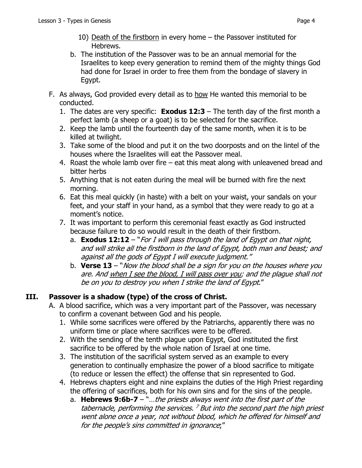- 10) Death of the firstborn in every home the Passover instituted for Hebrews.
- b. The institution of the Passover was to be an annual memorial for the Israelites to keep every generation to remind them of the mighty things God had done for Israel in order to free them from the bondage of slavery in Egypt.
- F. As always, God provided every detail as to how He wanted this memorial to be conducted.
	- 1. The dates are very specific: **Exodus 12:3**  The tenth day of the first month a perfect lamb (a sheep or a goat) is to be selected for the sacrifice.
	- 2. Keep the lamb until the fourteenth day of the same month, when it is to be killed at twilight.
	- 3. Take some of the blood and put it on the two doorposts and on the lintel of the houses where the Israelites will eat the Passover meal.
	- 4. Roast the whole lamb over fire eat this meat along with unleavened bread and bitter herbs
	- 5. Anything that is not eaten during the meal will be burned with fire the next morning.
	- 6. Eat this meal quickly (in haste) with a belt on your waist, your sandals on your feet, and your staff in your hand, as a symbol that they were ready to go at a moment's notice.
	- 7. It was important to perform this ceremonial feast exactly as God instructed because failure to do so would result in the death of their firstborn.
		- a. **Exodus 12:12**  "For I will pass through the land of Egypt on that night, and will strike all the firstborn in the land of Egypt, both man and beast; and against all the gods of Egypt I will execute judgment."
		- b. **Verse 13**  "Now the blood shall be a sign for you on the houses where you are. And when I see the blood, I will pass over you; and the plague shall not be on you to destroy you when I strike the land of Egypt."

# **III. Passover is a shadow (type) of the cross of Christ.**

- A. A blood sacrifice, which was a very important part of the Passover, was necessary to confirm a covenant between God and his people.
	- 1. While some sacrifices were offered by the Patriarchs, apparently there was no uniform time or place where sacrifices were to be offered.
	- 2. With the sending of the tenth plague upon Egypt, God instituted the first sacrifice to be offered by the whole nation of Israel at one time.
	- 3. The institution of the sacrificial system served as an example to every generation to continually emphasize the power of a blood sacrifice to mitigate (to reduce or lessen the effect) the offense that sin represented to God.
	- 4. Hebrews chapters eight and nine explains the duties of the High Priest regarding the offering of sacrifices, both for his own sins and for the sins of the people.
		- a. **Hebrews 9:6b-7**  "…the priests always went into the first part of the tabernacle, performing the services.  $<sup>7</sup>$  But into the second part the high priest</sup> went alone once a year, not without blood, which he offered for himself and for the people's sins committed in ignorance;"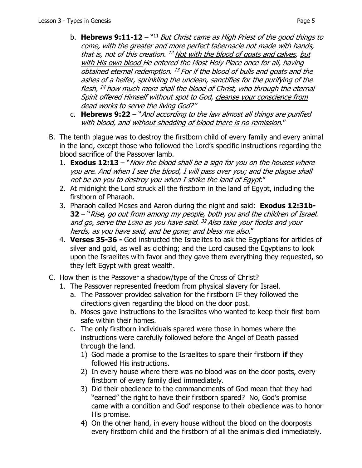- b. **Hebrews 9:11-12**  "11 But Christ came as High Priest of the good things to come, with the greater and more perfect tabernacle not made with hands, that is, not of this creation.  $^{12}$  Not with the blood of goats and calves, but with His own blood He entered the Most Holy Place once for all, having obtained eternal redemption. <sup>13</sup> For if the blood of bulls and goats and the ashes of a heifer, sprinkling the unclean, sanctifies for the purifying of the flesh,  $^{14}$  how much more shall the blood of Christ, who through the eternal Spirit offered Himself without spot to God, cleanse your conscience from dead works to serve the living God?"
- c. **Hebrews 9:22**  "And according to the law almost all things are purified with blood, and without shedding of blood there is no remission."
- B. The tenth plague was to destroy the firstborn child of every family and every animal in the land, except those who followed the Lord's specific instructions regarding the blood sacrifice of the Passover lamb.
	- 1. **Exodus 12:13**  "Now the blood shall be a sign for you on the houses where you are. And when I see the blood, I will pass over you; and the plague shall not be on you to destroy you when I strike the land of Egypt."
	- 2. At midnight the Lord struck all the firstborn in the land of Egypt, including the firstborn of Pharaoh.
	- 3. Pharaoh called Moses and Aaron during the night and said: **Exodus 12:31b-32** – "Rise, go out from among my people, both you and the children of Israel. and go, serve the LORD as you have said.  $32$  Also take your flocks and your herds, as you have said, and be gone; and bless me also."
	- 4. **Verses 35-36** God instructed the Israelites to ask the Egyptians for articles of silver and gold, as well as clothing; and the Lord caused the Egyptians to look upon the Israelites with favor and they gave them everything they requested, so they left Egypt with great wealth.
- C. How then is the Passover a shadow/type of the Cross of Christ?
	- 1. The Passover represented freedom from physical slavery for Israel.
		- a. The Passover provided salvation for the firstborn IF they followed the directions given regarding the blood on the door post.
		- b. Moses gave instructions to the Israelites who wanted to keep their first born safe within their homes.
		- c. The only firstborn individuals spared were those in homes where the instructions were carefully followed before the Angel of Death passed through the land.
			- 1) God made a promise to the Israelites to spare their firstborn **if** they followed His instructions.
			- 2) In every house where there was no blood was on the door posts, every firstborn of every family died immediately.
			- 3) Did their obedience to the commandments of God mean that they had "earned" the right to have their firstborn spared? No, God's promise came with a condition and God' response to their obedience was to honor His promise.
			- 4) On the other hand, in every house without the blood on the doorposts every firstborn child and the firstborn of all the animals died immediately.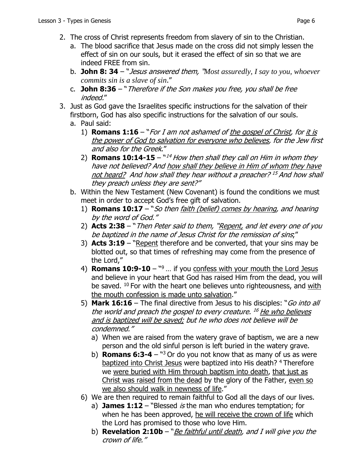- 2. The cross of Christ represents freedom from slavery of sin to the Christian.
	- a. The blood sacrifice that Jesus made on the cross did not simply lessen the effect of sin on our souls, but it erased the effect of sin so that we are indeed FREE from sin.
	- b. **John 8: 34** "Jesus answered them, "*Most assuredly, I say to you, whoever commits sin is a slave of sin*."
	- c. **John 8:36** "Therefore if the Son makes you free, you shall be free indeed."
- 3. Just as God gave the Israelites specific instructions for the salvation of their firstborn, God has also specific instructions for the salvation of our souls.
	- a. Paul said:
		- 1) **Romans 1:16**  "For I am not ashamed of the gospel of Christ, for it is the power of God to salvation for everyone who believes, for the Jew first and also for the Greek."
		- 2) **Romans 10:14-15**  $14$  How then shall they call on Him in whom they have not believed? And how shall they believe in Him of whom they have not heard? And how shall they hear without a preacher?<sup>15</sup> And how shall they preach unless they are sent?"
	- b. Within the New Testament (New Covenant) is found the conditions we must meet in order to accept God's free gift of salvation.
		- 1) **Romans 10:17**  "So then faith (belief) comes by hearing, and hearing by the word of God."
		- 2) **Acts 2:38**  "Then Peter said to them, "Repent, and let every one of you be baptized in the name of Jesus Christ for the remission of sins;"
		- 3) **Acts 3:19**  "Repent therefore and be converted, that your sins may be blotted out, so that times of refreshing may come from the presence of the Lord,"
		- 4) **Romans 10:9-10**  "9 … if you confess with your mouth the Lord Jesus and believe in your heart that God has raised Him from the dead, you will be saved. <sup>10</sup> For with the heart one believes unto righteousness, and with the mouth confession is made unto salvation."
		- 5) **Mark 16:16**  The final directive from Jesus to his disciples: "Go into all the world and preach the gospel to every creature. <sup>16</sup> He who believes and is baptized will be saved; but he who does not believe will be condemned."
			- a) When we are raised from the watery grave of baptism, we are a new person and the old sinful person is left buried in the watery grave.
			- b) **Romans 6:3-4**  "3 Or do you not know that as many of us as were baptized into Christ Jesus were baptized into His death? 4 Therefore we were buried with Him through baptism into death, that just as Christ was raised from the dead by the glory of the Father, even so we also should walk in newness of life."
		- 6) We are then required to remain faithful to God all the days of our lives.
			- a) **James 1:12**  "Blessed is the man who endures temptation; for when he has been approved, he will receive the crown of life which the Lord has promised to those who love Him.
			- b) **Revelation 2:10b** "*Be faithful until death, and I will give you the* crown of life."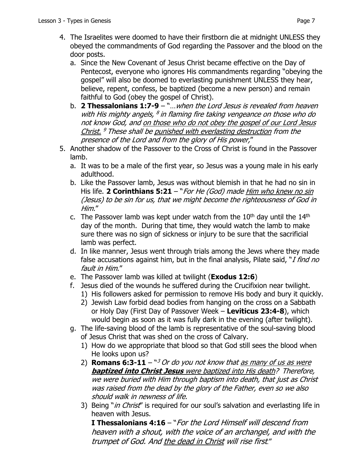- 4. The Israelites were doomed to have their firstborn die at midnight UNLESS they obeyed the commandments of God regarding the Passover and the blood on the door posts.
	- a. Since the New Covenant of Jesus Christ became effective on the Day of Pentecost, everyone who ignores His commandments regarding "obeying the gospel" will also be doomed to everlasting punishment UNLESS they hear, believe, repent, confess, be baptized (become a new person) and remain faithful to God (obey the gospel of Christ).
	- b. **2 Thessalonians 1:7-9**  "…when the Lord Jesus is revealed from heaven with His mighty angels,  $^8$  in flaming fire taking vengeance on those who do not know God, and on those who do not obey the gospel of our Lord Jesus Christ.  $9$  These shall be punished with everlasting destruction from the presence of the Lord and from the glory of His power,"
- 5. Another shadow of the Passover to the Cross of Christ is found in the Passover lamb.
	- a. It was to be a male of the first year, so Jesus was a young male in his early adulthood.
	- b. Like the Passover lamb, Jesus was without blemish in that he had no sin in His life. **2 Corinthians 5:21** – "*For He (God) made Him who knew no sin* (Jesus) to be sin for us, that we might become the righteousness of God in Him."
	- c. The Passover lamb was kept under watch from the  $10<sup>th</sup>$  day until the  $14<sup>th</sup>$ day of the month. During that time, they would watch the lamb to make sure there was no sign of sickness or injury to be sure that the sacrificial lamb was perfect.
	- d. In like manner, Jesus went through trials among the Jews where they made false accusations against him, but in the final analysis, Pilate said, "I find no fault in Him."
	- e. The Passover lamb was killed at twilight (**Exodus 12:6**)
	- f. Jesus died of the wounds he suffered during the Crucifixion near twilight.
		- 1) His followers asked for permission to remove His body and bury it quickly.
		- 2) Jewish Law forbid dead bodies from hanging on the cross on a Sabbath or Holy Day (First Day of Passover Week – **Leviticus 23:4-8**), which would begin as soon as it was fully dark in the evening (after twilight).
	- g. The life-saving blood of the lamb is representative of the soul-saving blood of Jesus Christ that was shed on the cross of Calvary.
		- 1) How do we appropriate that blood so that God still sees the blood when He looks upon us?
		- 2) **Romans 6:3-11** "<sup>3</sup> Or do you not know that as many of us as were **baptized into Christ Jesus** were baptized into His death? Therefore, we were buried with Him through baptism into death, that just as Christ was raised from the dead by the glory of the Father, even so we also should walk in newness of life.
		- 3) Being "*in Christ*" is required for our soul's salvation and everlasting life in heaven with Jesus.

**I Thessalonians 4:16** – "For the Lord Himself will descend from heaven with a shout, with the voice of an archangel, and with the trumpet of God. And the dead in Christ will rise first."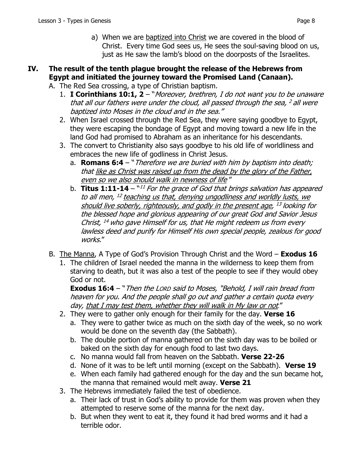a) When we are baptized into Christ we are covered in the blood of Christ. Every time God sees us, He sees the soul-saving blood on us, just as He saw the lamb's blood on the doorposts of the Israelites.

# **IV. The result of the tenth plague brought the release of the Hebrews from Egypt and initiated the journey toward the Promised Land (Canaan).**

A. The Red Sea crossing, a type of Christian baptism.

- 1. **I Corinthians 10:1, 2** "Moreover, brethren, I do not want you to be unaware that all our fathers were under the cloud, all passed through the sea,  $2$  all were baptized into Moses in the cloud and in the sea."
- 2. When Israel crossed through the Red Sea, they were saying goodbye to Egypt, they were escaping the bondage of Egypt and moving toward a new life in the land God had promised to Abraham as an inheritance for his descendants.
- 3. The convert to Christianity also says goodbye to his old life of worldliness and embraces the new life of godliness in Christ Jesus.
	- a. **Romans 6:4** "Therefore we are buried with him by baptism into death; that like as Christ was raised up from the dead by the glory of the Father, even so we also should walk in newness of life "
	- b. **Titus 1:11-14** <sup>"11</sup> For the grace of God that brings salvation has appeared to all men, <sup>12</sup> teaching us that, denying ungodliness and worldly lusts, we should live soberly, righteously, and godly in the present age,  $^{13}$  looking for the blessed hope and glorious appearing of our great God and Savior Jesus Christ,  $^{14}$  who gave Himself for us, that He might redeem us from every lawless deed and purify for Himself His own special people, zealous for good works."
- B. The Manna, A Type of God's Provision Through Christ and the Word **Exodus 16**
	- 1. The children of Israel needed the manna in the wilderness to keep them from starving to death, but it was also a test of the people to see if they would obey God or not.

**Exodus 16:4** – "Then the Lorp said to Moses, "Behold, I will rain bread from heaven for you. And the people shall go out and gather a certain quota every day, that I may test them, whether they will walk in My law or not."

- 2. They were to gather only enough for their family for the day. **Verse 16**
	- a. They were to gather twice as much on the sixth day of the week, so no work would be done on the seventh day (the Sabbath).
	- b. The double portion of manna gathered on the sixth day was to be boiled or baked on the sixth day for enough food to last two days.
	- c. No manna would fall from heaven on the Sabbath. **Verse 22-26**
	- d. None of it was to be left until morning (except on the Sabbath). **Verse 19**
	- e. When each family had gathered enough for the day and the sun became hot, the manna that remained would melt away. **Verse 21**
- 3. The Hebrews immediately failed the test of obedience.
	- a. Their lack of trust in God's ability to provide for them was proven when they attempted to reserve some of the manna for the next day.
	- b. But when they went to eat it, they found it had bred worms and it had a terrible odor.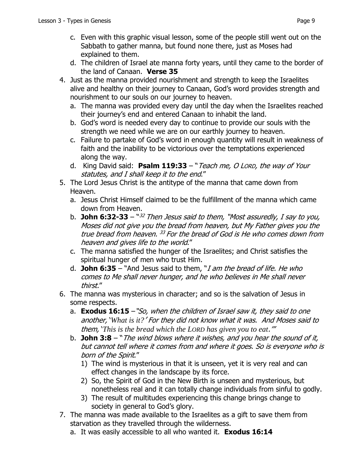- explained to them. d. The children of Israel ate manna forty years, until they came to the border of the land of Canaan. **Verse 35**
- 4. Just as the manna provided nourishment and strength to keep the Israelites alive and healthy on their journey to Canaan, God's word provides strength and nourishment to our souls on our journey to heaven.
	- a. The manna was provided every day until the day when the Israelites reached their journey's end and entered Canaan to inhabit the land.
	- b. God's word is needed every day to continue to provide our souls with the strength we need while we are on our earthly journey to heaven.
	- c. Failure to partake of God's word in enough quantity will result in weakness of faith and the inability to be victorious over the temptations experienced along the way.
	- d. King David said: **Psalm 119:33** "Teach me, O LORD, the way of Your statutes, and I shall keep it to the end."
- 5. The Lord Jesus Christ is the antitype of the manna that came down from Heaven.
	- a. Jesus Christ Himself claimed to be the fulfillment of the manna which came down from Heaven.
	- b. **John 6:32-33** "32 Then Jesus said to them, "Most assuredly, I say to you, Moses did not give you the bread from heaven, but My Father gives you the true bread from heaven. <sup>33</sup> For the bread of God is He who comes down from heaven and gives life to the world."
	- c. The manna satisfied the hunger of the Israelites; and Christ satisfies the spiritual hunger of men who trust Him.
	- d. **John 6:35** "And Jesus said to them, "I am the bread of life. He who comes to Me shall never hunger, and he who believes in Me shall never thirst."
- 6. The manna was mysterious in character; and so is the salvation of Jesus in some respects.
	- a. **Exodus 16:15** –"So, when the children of Israel saw it, they said to one another, '*What is it?*' For they did not know what it was. And Moses said to them, '*This is the bread which the LORD has given you to eat*.'"
	- b. **John 3:8** "The wind blows where it wishes, and you hear the sound of it, but cannot tell where it comes from and where it goes. So is everyone who is born of the Spirit."
		- 1) The wind is mysterious in that it is unseen, yet it is very real and can effect changes in the landscape by its force.
		- 2) So, the Spirit of God in the New Birth is unseen and mysterious, but nonetheless real and it can totally change individuals from sinful to godly.
		- 3) The result of multitudes experiencing this change brings change to society in general to God's glory.
- 7. The manna was made available to the Israelites as a gift to save them from starvation as they travelled through the wilderness.
	- a. It was easily accessible to all who wanted it. **Exodus 16:14**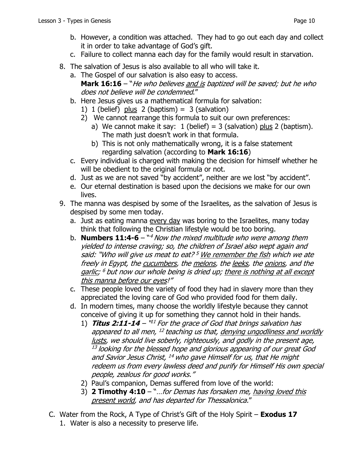- b. However, a condition was attached. They had to go out each day and collect it in order to take advantage of God's gift.
- c. Failure to collect manna each day for the family would result in starvation.
- 8. The salvation of Jesus is also available to all who will take it.
	- a. The Gospel of our salvation is also easy to access. **Mark 16:16** – "He who believes and is baptized will be saved; but he who does not believe will be condemned."
	- b. Here Jesus gives us a mathematical formula for salvation:
		- 1) 1 (belief)  $plus 2$  (baptism) = 3 (salvation)
		- 2) We cannot rearrange this formula to suit our own preferences:
			- a) We cannot make it say: 1 (belief) = 3 (salvation) plus 2 (baptism). The math just doesn't work in that formula.
			- b) This is not only mathematically wrong, it is a false statement regarding salvation (according to **Mark 16:16**)
	- c. Every individual is charged with making the decision for himself whether he will be obedient to the original formula or not.
	- d. Just as we are not saved "by accident", neither are we lost "by accident".
	- e. Our eternal destination is based upon the decisions we make for our own lives.
- 9. The manna was despised by some of the Israelites, as the salvation of Jesus is despised by some men today.
	- a. Just as eating manna every day was boring to the Israelites, many today think that following the Christian lifestyle would be too boring.
	- b. **Numbers 11:4-6** <sup>\*4</sup> Now the mixed multitude who were among them yielded to intense craving; so, the children of Israel also wept again and said: "Who will give us meat to eat?  $5$  We remember the fish which we ate freely in Egypt, the cucumbers, the melons, the leeks, the onions, and the garlic;  $6$  but now our whole being is dried up; there is nothing at all except this manna before our eyes!"
	- c. These people loved the variety of food they had in slavery more than they appreciated the loving care of God who provided food for them daily.
	- d. In modern times, many choose the worldly lifestyle because they cannot conceive of giving it up for something they cannot hold in their hands.
		- 1) **Titus 2:11-14** "<sup>11</sup> For the grace of God that brings salvation has appeared to all men,  $^{12}$  teaching us that, denying ungodliness and worldly lusts, we should live soberly, righteously, and godly in the present age,  $13$  looking for the blessed hope and glorious appearing of our great God and Savior Jesus Christ, <sup>14</sup> who gave Himself for us, that He might redeem us from every lawless deed and purify for Himself His own special people, zealous for good works."
		- 2) Paul's companion, Demas suffered from love of the world:
		- 3) **2 Timothy 4:10**  "…for Demas has forsaken me, having loved this present world, and has departed for Thessalonica."
- C. Water from the Rock, A Type of Christ's Gift of the Holy Spirit **Exodus 17** 1. Water is also a necessity to preserve life.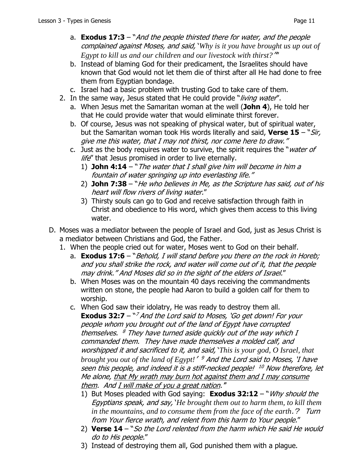- a. **Exodus 17:3**  "And the people thirsted there for water, and the people complained against Moses, and said, '*Why is it you have brought us up out of Egypt to kill us and our children and our livestock with thirst?*''"
- b. Instead of blaming God for their predicament, the Israelites should have known that God would not let them die of thirst after all He had done to free them from Egyptian bondage.
- c. Israel had a basic problem with trusting God to take care of them.
- 2. In the same way, Jesus stated that He could provide "*living water"*.
	- a. When Jesus met the Samaritan woman at the well (**John 4**), He told her that He could provide water that would eliminate thirst forever.
	- b. Of course, Jesus was not speaking of physical water, but of spiritual water, but the Samaritan woman took His words literally and said, **Verse 15** – "Sir, give me this water, that I may not thirst, nor come here to draw."
	- c. Just as the body requires water to survive, the spirit requires the "*water of* life" that Jesus promised in order to live eternally.
		- 1) **John 4:14** "The water that I shall give him will become in him a fountain of water springing up into everlasting life."
		- 2) **John 7:38**  "He who believes in Me, as the Scripture has said, out of his heart will flow rivers of living water."
		- 3) Thirsty souls can go to God and receive satisfaction through faith in Christ and obedience to His word, which gives them access to this living water.
- D. Moses was a mediator between the people of Israel and God, just as Jesus Christ is a mediator between Christians and God, the Father.
	- 1. When the people cried out for water, Moses went to God on their behalf.
		- a. **Exodus 17:6** "*Behold, I will stand before you there on the rock in Horeb;* and you shall strike the rock, and water will come out of it, that the people may drink." And Moses did so in the sight of the elders of Israel."
		- b. When Moses was on the mountain 40 days receiving the commandments written on stone, the people had Aaron to build a golden calf for them to worship.
		- c. When God saw their idolatry, He was ready to destroy them all. **Exodus 32:7** – "<sup>7</sup> And the Lord said to Moses, 'Go get down! For your people whom you brought out of the land of Egypt have corrupted themselves.  $8$  They have turned aside quickly out of the way which I commanded them. They have made themselves a molded calf, and worshipped it and sacrificed to it, and said, '*This is your god, O Israel, that brought you out of the land of Egypt!*' <sup>9</sup> And the Lord said to Moses, 'I have seen this people, and indeed it is a stiff-necked people! <sup>10</sup> Now therefore, let Me alone, that My wrath may burn hot against them and I may consume them. And I will make of you a great nation."
			- 1) But Moses pleaded with God saying: **Exodus 32:12**  "Why should the Egyptians speak, and say, '*He brought them out to harm them, to kill them in the mountains, and to consume them from the face of the earth*.'? Turn from Your fierce wrath, and relent from this harm to Your people."
			- 2) **Verse 14**  "So the Lord relented from the harm which He said He would do to His people."
			- 3) Instead of destroying them all, God punished them with a plague.